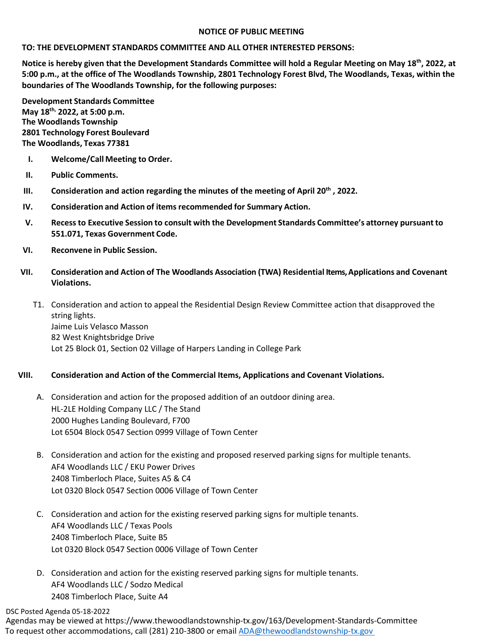## **NOTICE OF PUBLIC MEETING**

## **TO: THE DEVELOPMENT STANDARDS COMMITTEE AND ALL OTHER INTERESTED PERSONS:**

**Notice is hereby given that the Development Standards Committee will hold a Regular Meeting on May 18th, 2022, at 5:00 p.m., at the office of The Woodlands Township, 2801 Technology Forest Blvd, The Woodlands, Texas, within the boundaries of The Woodlands Township, for the following purposes:**

**Development Standards Committee May 18th, 2022, at 5:00 p.m. The Woodlands Township 2801 Technology Forest Boulevard The Woodlands, Texas 77381**

- **I. Welcome/Call Meeting to Order.**
- **II. Public Comments.**
- **III. Consideration and action regarding the minutes of the meeting of April 20th , 2022.**
- **IV. Consideration and Action of items recommended for Summary Action.**
- **V. Recessto Executive Session to consult with the Development Standards Committee's attorney pursuant to 551.071, Texas Government Code.**
- **VI. Reconvene in Public Session.**
- **VII. Consideration and Action of The Woodlands Association (TWA) Residential Items, Applications and Covenant Violations.**
	- T1. Consideration and action to appeal the Residential Design Review Committee action that disapproved the string lights. Jaime Luis Velasco Masson 82 West Knightsbridge Drive Lot 25 Block 01, Section 02 Village of Harpers Landing in College Park

# **VIII. Consideration and Action of the Commercial Items, Applications and Covenant Violations.**

- A. Consideration and action for the proposed addition of an outdoor dining area. HL-2LE Holding Company LLC / The Stand 2000 Hughes Landing Boulevard, F700 Lot 6504 Block 0547 Section 0999 Village of Town Center
- B. Consideration and action for the existing and proposed reserved parking signs for multiple tenants. AF4 Woodlands LLC / EKU Power Drives 2408 Timberloch Place, Suites A5 & C4 Lot 0320 Block 0547 Section 0006 Village of Town Center
- C. Consideration and action for the existing reserved parking signs for multiple tenants. AF4 Woodlands LLC / Texas Pools 2408 Timberloch Place, Suite B5 Lot 0320 Block 0547 Section 0006 Village of Town Center
- D. Consideration and action for the existing reserved parking signs for multiple tenants. AF4 Woodlands LLC / Sodzo Medical 2408 Timberloch Place, Suite A4

DSC Posted Agenda 05-18-2022

Agendas may be viewed at https://www.thewoodlandstownship-tx.gov/163/Development-Standards-Committee To request other accommodations, call (281) 210-3800 or email [ADA@thewoodlandstownship-tx.gov](mailto:ADA@thewoodlandstownship-tx.gov)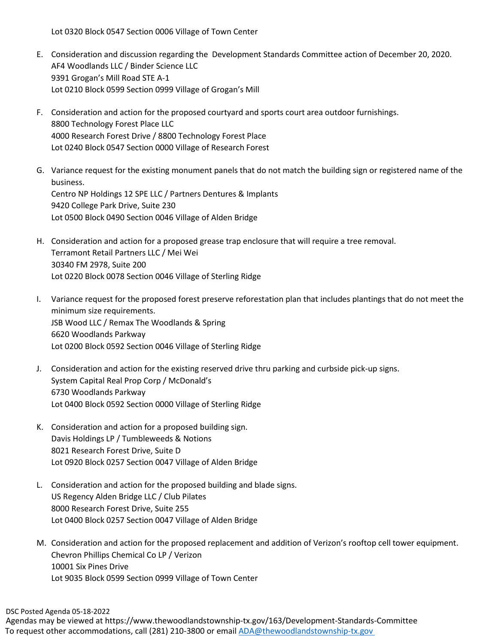Lot 0320 Block 0547 Section 0006 Village of Town Center

- E. Consideration and discussion regarding the Development Standards Committee action of December 20, 2020. AF4 Woodlands LLC / Binder Science LLC 9391 Grogan's Mill Road STE A-1 Lot 0210 Block 0599 Section 0999 Village of Grogan's Mill
- F. Consideration and action for the proposed courtyard and sports court area outdoor furnishings. 8800 Technology Forest Place LLC 4000 Research Forest Drive / 8800 Technology Forest Place Lot 0240 Block 0547 Section 0000 Village of Research Forest
- G. Variance request for the existing monument panels that do not match the building sign or registered name of the business. Centro NP Holdings 12 SPE LLC / Partners Dentures & Implants 9420 College Park Drive, Suite 230 Lot 0500 Block 0490 Section 0046 Village of Alden Bridge
- H. Consideration and action for a proposed grease trap enclosure that will require a tree removal. Terramont Retail Partners LLC / Mei Wei 30340 FM 2978, Suite 200 Lot 0220 Block 0078 Section 0046 Village of Sterling Ridge
- I. Variance request for the proposed forest preserve reforestation plan that includes plantings that do not meet the minimum size requirements. JSB Wood LLC / Remax The Woodlands & Spring 6620 Woodlands Parkway Lot 0200 Block 0592 Section 0046 Village of Sterling Ridge
- J. Consideration and action for the existing reserved drive thru parking and curbside pick-up signs. System Capital Real Prop Corp / McDonald's 6730 Woodlands Parkway Lot 0400 Block 0592 Section 0000 Village of Sterling Ridge
- K. Consideration and action for a proposed building sign. Davis Holdings LP / Tumbleweeds & Notions 8021 Research Forest Drive, Suite D Lot 0920 Block 0257 Section 0047 Village of Alden Bridge
- L. Consideration and action for the proposed building and blade signs. US Regency Alden Bridge LLC / Club Pilates 8000 Research Forest Drive, Suite 255 Lot 0400 Block 0257 Section 0047 Village of Alden Bridge
- M. Consideration and action for the proposed replacement and addition of Verizon's rooftop cell tower equipment. Chevron Phillips Chemical Co LP / Verizon 10001 Six Pines Drive Lot 9035 Block 0599 Section 0999 Village of Town Center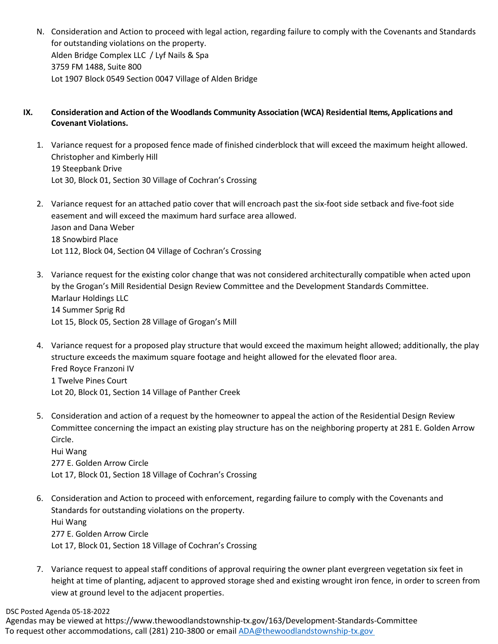N. Consideration and Action to proceed with legal action, regarding failure to comply with the Covenants and Standards for outstanding violations on the property. Alden Bridge Complex LLC / Lyf Nails & Spa 3759 FM 1488, Suite 800 Lot 1907 Block 0549 Section 0047 Village of Alden Bridge

# **IX. Consideration and Action of the Woodlands Community Association (WCA) Residential Items, Applications and Covenant Violations.**

- 1. Variance request for a proposed fence made of finished cinderblock that will exceed the maximum height allowed. Christopher and Kimberly Hill 19 Steepbank Drive Lot 30, Block 01, Section 30 Village of Cochran's Crossing
- 2. Variance request for an attached patio cover that will encroach past the six-foot side setback and five-foot side easement and will exceed the maximum hard surface area allowed. Jason and Dana Weber 18 Snowbird Place Lot 112, Block 04, Section 04 Village of Cochran's Crossing
- 3. Variance request for the existing color change that was not considered architecturally compatible when acted upon by the Grogan's Mill Residential Design Review Committee and the Development Standards Committee. Marlaur Holdings LLC 14 Summer Sprig Rd Lot 15, Block 05, Section 28 Village of Grogan's Mill
- 4. Variance request for a proposed play structure that would exceed the maximum height allowed; additionally, the play structure exceeds the maximum square footage and height allowed for the elevated floor area. Fred Royce Franzoni IV 1 Twelve Pines Court Lot 20, Block 01, Section 14 Village of Panther Creek
- 5. Consideration and action of a request by the homeowner to appeal the action of the Residential Design Review Committee concerning the impact an existing play structure has on the neighboring property at 281 E. Golden Arrow Circle.

Hui Wang 277 E. Golden Arrow Circle Lot 17, Block 01, Section 18 Village of Cochran's Crossing

- 6. Consideration and Action to proceed with enforcement, regarding failure to comply with the Covenants and Standards for outstanding violations on the property. Hui Wang 277 E. Golden Arrow Circle Lot 17, Block 01, Section 18 Village of Cochran's Crossing
- 7. Variance request to appeal staff conditions of approval requiring the owner plant evergreen vegetation six feet in height at time of planting, adjacent to approved storage shed and existing wrought iron fence, in order to screen from view at ground level to the adjacent properties.

DSC Posted Agenda 05-18-2022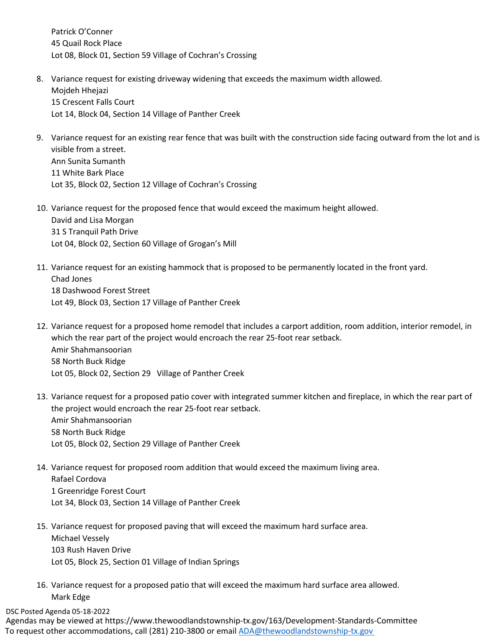Patrick O'Conner 45 Quail Rock Place Lot 08, Block 01, Section 59 Village of Cochran's Crossing

- 8. Variance request for existing driveway widening that exceeds the maximum width allowed. Mojdeh Hhejazi 15 Crescent Falls Court Lot 14, Block 04, Section 14 Village of Panther Creek
- 9. Variance request for an existing rear fence that was built with the construction side facing outward from the lot and is visible from a street. Ann Sunita Sumanth 11 White Bark Place Lot 35, Block 02, Section 12 Village of Cochran's Crossing
- 10. Variance request for the proposed fence that would exceed the maximum height allowed. David and Lisa Morgan 31 S Tranquil Path Drive Lot 04, Block 02, Section 60 Village of Grogan's Mill
- 11. Variance request for an existing hammock that is proposed to be permanently located in the front yard. Chad Jones 18 Dashwood Forest Street Lot 49, Block 03, Section 17 Village of Panther Creek
- 12. Variance request for a proposed home remodel that includes a carport addition, room addition, interior remodel, in which the rear part of the project would encroach the rear 25-foot rear setback. Amir Shahmansoorian 58 North Buck Ridge Lot 05, Block 02, Section 29 Village of Panther Creek
- 13. Variance request for a proposed patio cover with integrated summer kitchen and fireplace, in which the rear part of the project would encroach the rear 25-foot rear setback. Amir Shahmansoorian 58 North Buck Ridge Lot 05, Block 02, Section 29 Village of Panther Creek
- 14. Variance request for proposed room addition that would exceed the maximum living area. Rafael Cordova 1 Greenridge Forest Court Lot 34, Block 03, Section 14 Village of Panther Creek
- 15. Variance request for proposed paving that will exceed the maximum hard surface area. Michael Vessely 103 Rush Haven Drive Lot 05, Block 25, Section 01 Village of Indian Springs
- 16. Variance request for a proposed patio that will exceed the maximum hard surface area allowed. Mark Edge

#### DSC Posted Agenda 05-18-2022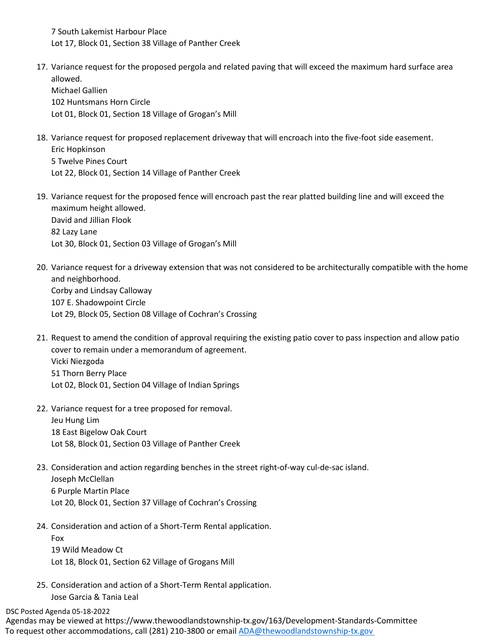7 South Lakemist Harbour Place Lot 17, Block 01, Section 38 Village of Panther Creek

17. Variance request for the proposed pergola and related paving that will exceed the maximum hard surface area allowed. Michael Gallien 102 Huntsmans Horn Circle

Lot 01, Block 01, Section 18 Village of Grogan's Mill

- 18. Variance request for proposed replacement driveway that will encroach into the five-foot side easement. Eric Hopkinson 5 Twelve Pines Court Lot 22, Block 01, Section 14 Village of Panther Creek
- 19. Variance request for the proposed fence will encroach past the rear platted building line and will exceed the maximum height allowed. David and Jillian Flook 82 Lazy Lane Lot 30, Block 01, Section 03 Village of Grogan's Mill
- 20. Variance request for a driveway extension that was not considered to be architecturally compatible with the home and neighborhood. Corby and Lindsay Calloway 107 E. Shadowpoint Circle Lot 29, Block 05, Section 08 Village of Cochran's Crossing
- 21. Request to amend the condition of approval requiring the existing patio cover to pass inspection and allow patio cover to remain under a memorandum of agreement. Vicki Niezgoda 51 Thorn Berry Place Lot 02, Block 01, Section 04 Village of Indian Springs
- 22. Variance request for a tree proposed for removal. Jeu Hung Lim 18 East Bigelow Oak Court Lot 58, Block 01, Section 03 Village of Panther Creek
- 23. Consideration and action regarding benches in the street right-of-way cul-de-sac island. Joseph McClellan 6 Purple Martin Place Lot 20, Block 01, Section 37 Village of Cochran's Crossing
- 24. Consideration and action of a Short-Term Rental application.

Fox 19 Wild Meadow Ct Lot 18, Block 01, Section 62 Village of Grogans Mill

25. Consideration and action of a Short-Term Rental application. Jose Garcia & Tania Leal

DSC Posted Agenda 05-18-2022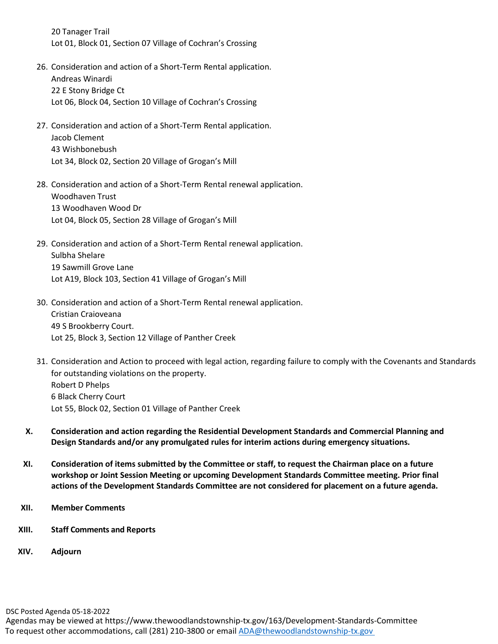20 Tanager Trail Lot 01, Block 01, Section 07 Village of Cochran's Crossing

- 26. Consideration and action of a Short-Term Rental application. Andreas Winardi 22 E Stony Bridge Ct Lot 06, Block 04, Section 10 Village of Cochran's Crossing
- 27. Consideration and action of a Short-Term Rental application. Jacob Clement 43 Wishbonebush Lot 34, Block 02, Section 20 Village of Grogan's Mill
- 28. Consideration and action of a Short-Term Rental renewal application. Woodhaven Trust 13 Woodhaven Wood Dr Lot 04, Block 05, Section 28 Village of Grogan's Mill
- 29. Consideration and action of a Short-Term Rental renewal application. Sulbha Shelare 19 Sawmill Grove Lane Lot A19, Block 103, Section 41 Village of Grogan's Mill
- 30. Consideration and action of a Short-Term Rental renewal application. Cristian Craioveana 49 S Brookberry Court. Lot 25, Block 3, Section 12 Village of Panther Creek
- 31. Consideration and Action to proceed with legal action, regarding failure to comply with the Covenants and Standards for outstanding violations on the property. Robert D Phelps 6 Black Cherry Court Lot 55, Block 02, Section 01 Village of Panther Creek
- **X. Consideration and action regarding the Residential Development Standards and Commercial Planning and Design Standards and/or any promulgated rules for interim actions during emergency situations.**
- **XI. Consideration of items submitted by the Committee or staff, to request the Chairman place on a future workshop or Joint Session Meeting or upcoming Development Standards Committee meeting. Prior final actions of the Development Standards Committee are not considered for placement on a future agenda.**
- **XII. Member Comments**
- **XIII. Staff Comments and Reports**
- **XIV. Adjourn**

DSC Posted Agenda 05-18-2022

Agendas may be viewed at https://www.thewoodlandstownship-tx.gov/163/Development-Standards-Committee To request other accommodations, call (281) 210-3800 or email ADA@thewoodlandstownship-tx.gov